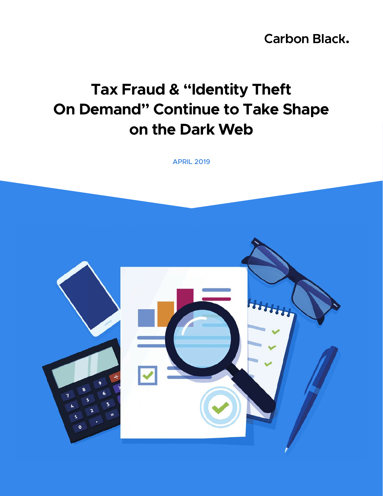**Carbon Black.** 

# **Tax Fraud & "Identity Theft On Demand" Continue to Take Shape on the Dark Web**

APRIL 2019

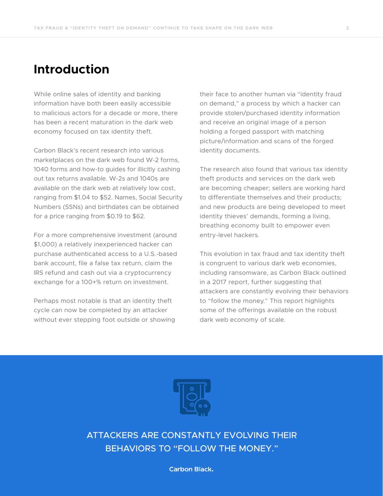#### **Introduction**

While online sales of identity and banking information have both been easily accessible to malicious actors for a decade or more, there has been a recent maturation in the dark web economy focused on tax identity theft.

Carbon Black's recent research into various marketplaces on the dark web found W-2 forms, 1040 forms and how-to guides for illicitly cashing out tax returns available. W-2s and 1040s are available on the dark web at relatively low cost, ranging from \$1.04 to \$52. Names, Social Security Numbers (SSNs) and birthdates can be obtained for a price ranging from \$0.19 to \$62.

For a more comprehensive investment (around \$1,000) a relatively inexperienced hacker can purchase authenticated access to a U.S.-based bank account, file a false tax return, claim the IRS refund and cash out via a cryptocurrency exchange for a 100+% return on investment.

Perhaps most notable is that an identity theft cycle can now be completed by an attacker without ever stepping foot outside or showing

their face to another human via "identity fraud on demand," a process by which a hacker can provide stolen/purchased identity information and receive an original image of a person holding a forged passport with matching picture/information and scans of the forged identity documents.

The research also found that various tax identity theft products and services on the dark web are becoming cheaper; sellers are working hard to differentiate themselves and their products; and new products are being developed to meet identity thieves' demands, forming a living, breathing economy built to empower even entry-level hackers.

This evolution in tax fraud and tax identity theft is congruent to various dark web economies, including ransomware, as Carbon Black outlined in a 2017 report, further suggesting that attackers are constantly evolving their behaviors to "follow the money." This report highlights some of the offerings available on the robust dark web economy of scale.



ATTACKERS ARE CONSTANTLY EVOLVING THEIR BEHAVIORS TO "FOLLOW THE MONEY."

**Carbon Black.**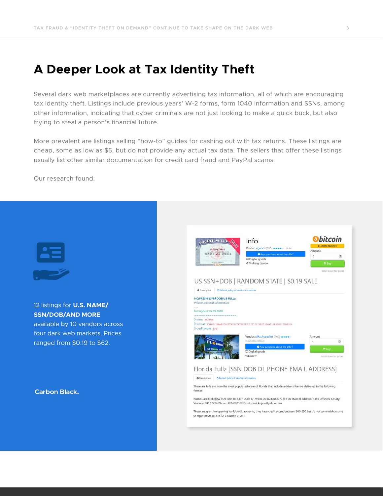#### **A Deeper Look at Tax Identity Theft**

Several dark web marketplaces are currently advertising tax information, all of which are encouraging tax identity theft. Listings include previous years' W-2 forms, form 1040 information and SSNs, among other information, indicating that cyber criminals are not just looking to make a quick buck, but also trying to steal a person's financial future.

More prevalent are listings selling "how-to" guides for cashing out with tax returns. These listings are cheap, some as low as \$5, but do not provide any actual tax data. The sellers that offer these listings usually list other similar documentation for credit card fraud and PayPal scams.

Our research found:

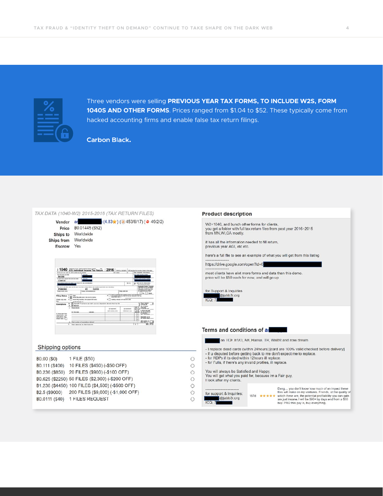

Three vendors were selling **PREVIOUS YEAR TAX FORMS, TO INCLUDE W2S, FORM 1040S AND OTHER FORMS**. Prices ranged from \$1.04 to \$52. These typically come from hacked accounting firms and enable false tax return filings.

**Carbon Black.** 

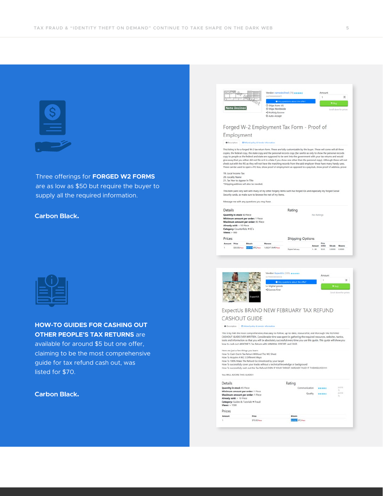

Three offerings for **FORGED W2 FORMS**  are as low as \$50 but require the buyer to supply all the required information.

#### **Carbon Black.**

**HOW-TO GUIDES FOR CASHING OUT OTHER PEOPLE'S TAX RETURNS** are available for around \$5 but one offer, claiming to be the most comprehensive guide for tax refund cash out, was listed for \$70.

**Carbon Black.** 

| <b>Name Declined</b>                                                                                         |                                                                         | (4,87666666666657)<br>G Ships from: US<br><b>D</b> Ships Worldwide<br>< Multisig Escrow<br>C Auto-Accept | Vendor: namedeclined (78) *****<br>Any questions about the offer?                                                                                                                                                                                                                                                                                                           |            | Amount<br>1           | # <sub>Buy</sub> | (e)<br>Scroll down for prices |
|--------------------------------------------------------------------------------------------------------------|-------------------------------------------------------------------------|----------------------------------------------------------------------------------------------------------|-----------------------------------------------------------------------------------------------------------------------------------------------------------------------------------------------------------------------------------------------------------------------------------------------------------------------------------------------------------------------------|------------|-----------------------|------------------|-------------------------------|
|                                                                                                              |                                                                         |                                                                                                          | Forged W-2 Employment Tax Form - Proof of                                                                                                                                                                                                                                                                                                                                   |            |                       |                  |                               |
| Employment                                                                                                   |                                                                         |                                                                                                          |                                                                                                                                                                                                                                                                                                                                                                             |            |                       |                  |                               |
| <b>O</b> Description                                                                                         | <b>DRefund policy &amp; Vendor information</b>                          |                                                                                                          |                                                                                                                                                                                                                                                                                                                                                                             |            |                       |                  |                               |
| 19. Local Income Tax<br>20. Locality Name<br>21. Tax Year to Appear in Title                                 | "Shipping address will also be needed.                                  |                                                                                                          | give away that you either did not file or it is a fake if you show one other than the personal copy). Although these will not<br>check out with the IRS as they will not have the matching records from the said employer these have many handy uses.<br>These can be used to open a PO Box, show proof of employment as opposed to a paystub, show proof of address, prove |            |                       |                  |                               |
|                                                                                                              | Message me with any questions you may have.                             | Security cards, so make sure to browse the rest of my items.                                             | This item pairs very well with many of my other forgery items such has forged IDs and especially my forged Social                                                                                                                                                                                                                                                           |            |                       |                  |                               |
| Details                                                                                                      |                                                                         |                                                                                                          | Rating                                                                                                                                                                                                                                                                                                                                                                      |            |                       |                  |                               |
| Quantity in stock 92 Piece<br>Already sold: < 10 Piece<br>Category: Counterfeits + ID's<br>$V$ iews: $> 900$ | Minimum amount per order: 1 Piece<br>Maximum amount per order: 92 Piece |                                                                                                          |                                                                                                                                                                                                                                                                                                                                                                             | No Ratings |                       |                  |                               |
| Prices                                                                                                       |                                                                         |                                                                                                          | <b>Shipping Options</b>                                                                                                                                                                                                                                                                                                                                                     |            |                       |                  |                               |
| Amount<br>Price                                                                                              | <b>Bitcoin</b>                                                          | Monero                                                                                                   |                                                                                                                                                                                                                                                                                                                                                                             | Amount     | Price<br><b>GPSO1</b> | Bitcole          | Monero                        |
| \$50.00/hwa                                                                                                  | 0.01376 BTC/Piece                                                       | 1.06247 XMR/Piece                                                                                        | Digital Delivery                                                                                                                                                                                                                                                                                                                                                            | $1 - 99$   | \$0.00                | 0.00000          | 0.00000                       |
|                                                                                                              |                                                                         | Vendor: ExpectUs (385) *****                                                                             |                                                                                                                                                                                                                                                                                                                                                                             |            |                       |                  |                               |
|                                                                                                              |                                                                         | (4,7933333333333)                                                                                        |                                                                                                                                                                                                                                                                                                                                                                             |            | Amount<br>1           |                  | $\left\vert \Phi\right\vert$  |



| <b>O</b> Description                                                                                                                           | C Refund policy & Vendor information                               |                                                                                                                                                                                                                                                                                                                                                              |              |
|------------------------------------------------------------------------------------------------------------------------------------------------|--------------------------------------------------------------------|--------------------------------------------------------------------------------------------------------------------------------------------------------------------------------------------------------------------------------------------------------------------------------------------------------------------------------------------------------------|--------------|
|                                                                                                                                                | how to cash out ANYONE'S Tax Return with MINIMAL EFFORT, and EASE. | This is by FAR the most comprehensive, clear, easy-to-follow, up-to-date, resourceful, and thorough TAX REFUND<br>CASHOUT GUIDE EVER WRITTEN. Considerable time was spent in gathering the required resources, websites, tactics,<br>tools and information so that you will be absolutely successful every time you use this quide. This quide will show you |              |
|                                                                                                                                                | Here are just a few things you learn:                              |                                                                                                                                                                                                                                                                                                                                                              |              |
|                                                                                                                                                | How To Cash Out A Tax Return Without The W2 Sheet                  |                                                                                                                                                                                                                                                                                                                                                              |              |
|                                                                                                                                                | How To Acquire A W2 3 Different Ways                               |                                                                                                                                                                                                                                                                                                                                                              |              |
|                                                                                                                                                | How To 100% Make The Refund Go Unnoticed by your target            |                                                                                                                                                                                                                                                                                                                                                              |              |
|                                                                                                                                                |                                                                    | How To successfully cover your tracks without a technical knowledge or background                                                                                                                                                                                                                                                                            |              |
|                                                                                                                                                |                                                                    |                                                                                                                                                                                                                                                                                                                                                              |              |
|                                                                                                                                                |                                                                    | How To successfully cash out the Tax Refund EVEN IF YOUR TARGET ALREADY FILED IT THEMSELVES!!!!!!                                                                                                                                                                                                                                                            |              |
|                                                                                                                                                |                                                                    |                                                                                                                                                                                                                                                                                                                                                              |              |
|                                                                                                                                                |                                                                    | Rating                                                                                                                                                                                                                                                                                                                                                       |              |
|                                                                                                                                                |                                                                    | Communication                                                                                                                                                                                                                                                                                                                                                | 14.314       |
|                                                                                                                                                | Minimum amount per order: 1 Piece                                  |                                                                                                                                                                                                                                                                                                                                                              | $25^{\circ}$ |
|                                                                                                                                                | Maximum amount per order: 1 Piece                                  | Quality                                                                                                                                                                                                                                                                                                                                                      | 14,916<br>75 |
|                                                                                                                                                |                                                                    |                                                                                                                                                                                                                                                                                                                                                              |              |
|                                                                                                                                                | Category: Guides & Tutorials + Fraud                               |                                                                                                                                                                                                                                                                                                                                                              |              |
|                                                                                                                                                |                                                                    |                                                                                                                                                                                                                                                                                                                                                              |              |
|                                                                                                                                                |                                                                    |                                                                                                                                                                                                                                                                                                                                                              |              |
| You WILL ADORE THIS GUIDETT<br>Details<br>Quantity in stock 45 Piece<br>Already sold: > 10 Piece<br>$V$ lewe > 1500<br>Prices<br><b>Amount</b> | <b>Price</b>                                                       | Bitcoln                                                                                                                                                                                                                                                                                                                                                      |              |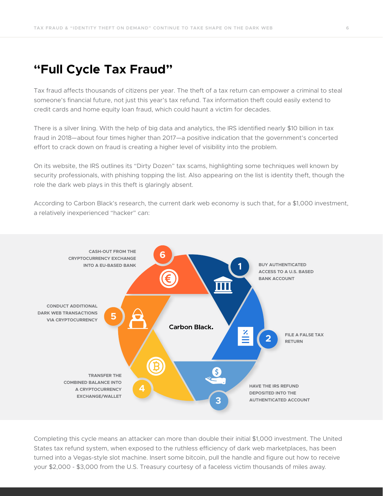#### **"Full Cycle Tax Fraud"**

Tax fraud affects thousands of citizens per year. The theft of a tax return can empower a criminal to steal someone's financial future, not just this year's tax refund. Tax information theft could easily extend to credit cards and home equity loan fraud, which could haunt a victim for decades.

There is a silver lining. With the help of big data and analytics, the IRS identified nearly \$10 billion in tax fraud in 2018—about four times higher than 2017—a positive indication that the government's concerted effort to crack down on fraud is creating a higher level of visibility into the problem.

On its website, the IRS outlines its "Dirty Dozen" tax scams, highlighting some techniques well known by security professionals, with phishing topping the list. Also appearing on the list is identity theft, though the role the dark web plays in this theft is glaringly absent.

According to Carbon Black's research, the current dark web economy is such that, for a \$1,000 investment, a relatively inexperienced "hacker" can:



Completing this cycle means an attacker can more than double their initial \$1,000 investment. The United States tax refund system, when exposed to the ruthless efficiency of dark web marketplaces, has been turned into a Vegas-style slot machine. Insert some bitcoin, pull the handle and figure out how to receive your \$2,000 - \$3,000 from the U.S. Treasury courtesy of a faceless victim thousands of miles away.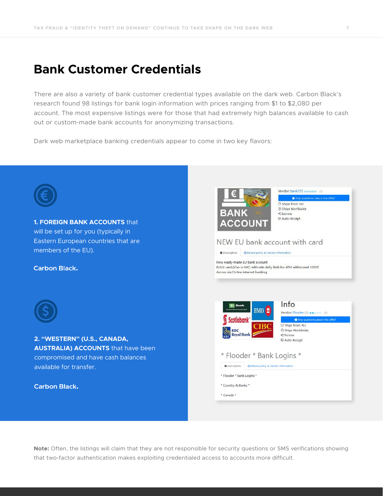#### **Bank Customer Credentials**

There are also a variety of bank customer credential types available on the dark web. Carbon Black's research found 98 listings for bank login information with prices ranging from \$1 to \$2,080 per account. The most expensive listings were for those that had extremely high balances available to cash out or custom-made bank accounts for anonymizing transactions.

Dark web marketplace banking credentials appear to come in two key flavors:



**Note:** Often, the listings will claim that they are not responsible for security questions or SMS verifications showing that two-factor authentication makes exploiting credentialed access to accounts more difficult.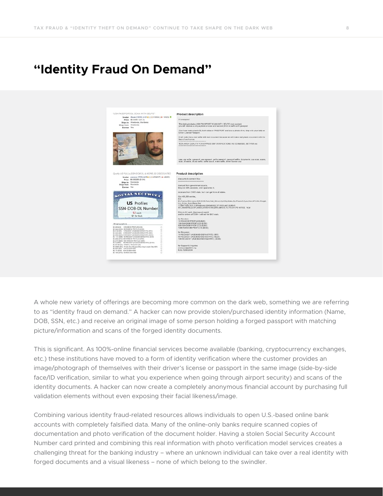### **"Identity Fraud On Demand"**



A whole new variety of offerings are becoming more common on the dark web, something we are referring to as "identity fraud on demand." A hacker can now provide stolen/purchased identity information (Name, DOB, SSN, etc.) and receive an original image of some person holding a forged passport with matching picture/information and scans of the forged identity documents.

This is significant. As 100%-online financial services become available (banking, cryptocurrency exchanges, etc.) these institutions have moved to a form of identity verification where the customer provides an image/photograph of themselves with their driver's license or passport in the same image (side-by-side face/ID verification, similar to what you experience when going through airport security) and scans of the identity documents. A hacker can now create a completely anonymous financial account by purchasing full validation elements without even exposing their facial likeness/image.

Combining various identity fraud-related resources allows individuals to open U.S.-based online bank accounts with completely falsified data. Many of the online-only banks require scanned copies of documentation and photo verification of the document holder. Having a stolen Social Security Account Number card printed and combining this real information with photo verification model services creates a challenging threat for the banking industry – where an unknown individual can take over a real identity with forged documents and a visual likeness – none of which belong to the swindler.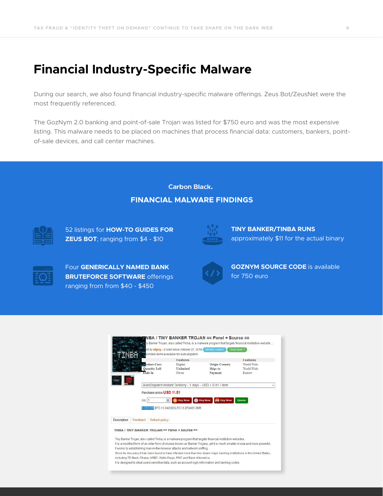### **Financial Industry-Specific Malware**

During our search, we also found financial industry-specific malware offerings. Zeus Bot/ZeusNet were the most frequently referenced.

The GozNym 2.0 banking and point-of-sale Trojan was listed for \$750 euro and was the most expensive listing. This malware needs to be placed on machines that process financial data: customers, bankers, pointof-sale devices, and call center machines.

> **Carbon Black. FINANCIAL MALWARE FINDINGS**



52 listings for **HOW-TO GUIDES FOR ZEUS BOT**; ranging from \$4 - \$10



**TINY BANKER/TINBA RUNS**  approximately \$11 for the actual binary



Four **GENERICALLY NAMED BANK BRUTEFORCE SOFTWARE** offerings ranging from from \$40 - \$450



**GOZNYM SOURCE CODE** is available for 750 euro

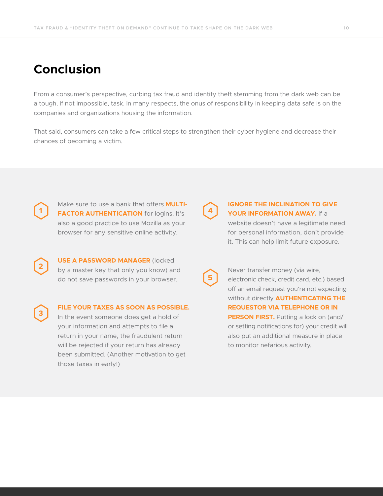### **Conclusion**

**2**

**3**

From a consumer's perspective, curbing tax fraud and identity theft stemming from the dark web can be a tough, if not impossible, task. In many respects, the onus of responsibility in keeping data safe is on the companies and organizations housing the information.

That said, consumers can take a few critical steps to strengthen their cyber hygiene and decrease their chances of becoming a victim.

Make sure to use a bank that offers **MULTI-1 FACTOR AUTHENTICATION** for logins. It's **4** also a good practice to use Mozilla as your browser for any sensitive online activity.

**USE A PASSWORD MANAGER** (locked by a master key that only you know) and do not save passwords in your browser.

**FILE YOUR TAXES AS SOON AS POSSIBLE.** In the event someone does get a hold of your information and attempts to file a return in your name, the fraudulent return will be rejected if your return has already been submitted. (Another motivation to get those taxes in early!)

**5**

#### **IGNORE THE INCLINATION TO GIVE YOUR INFORMATION AWAY.** If a

website doesn't have a legitimate need for personal information, don't provide it. This can help limit future exposure.

Never transfer money (via wire, electronic check, credit card, etc.) based off an email request you're not expecting without directly **AUTHENTICATING THE REQUESTOR VIA TELEPHONE OR IN PERSON FIRST.** Putting a lock on (and/ or setting notifications for) your credit will also put an additional measure in place to monitor nefarious activity.